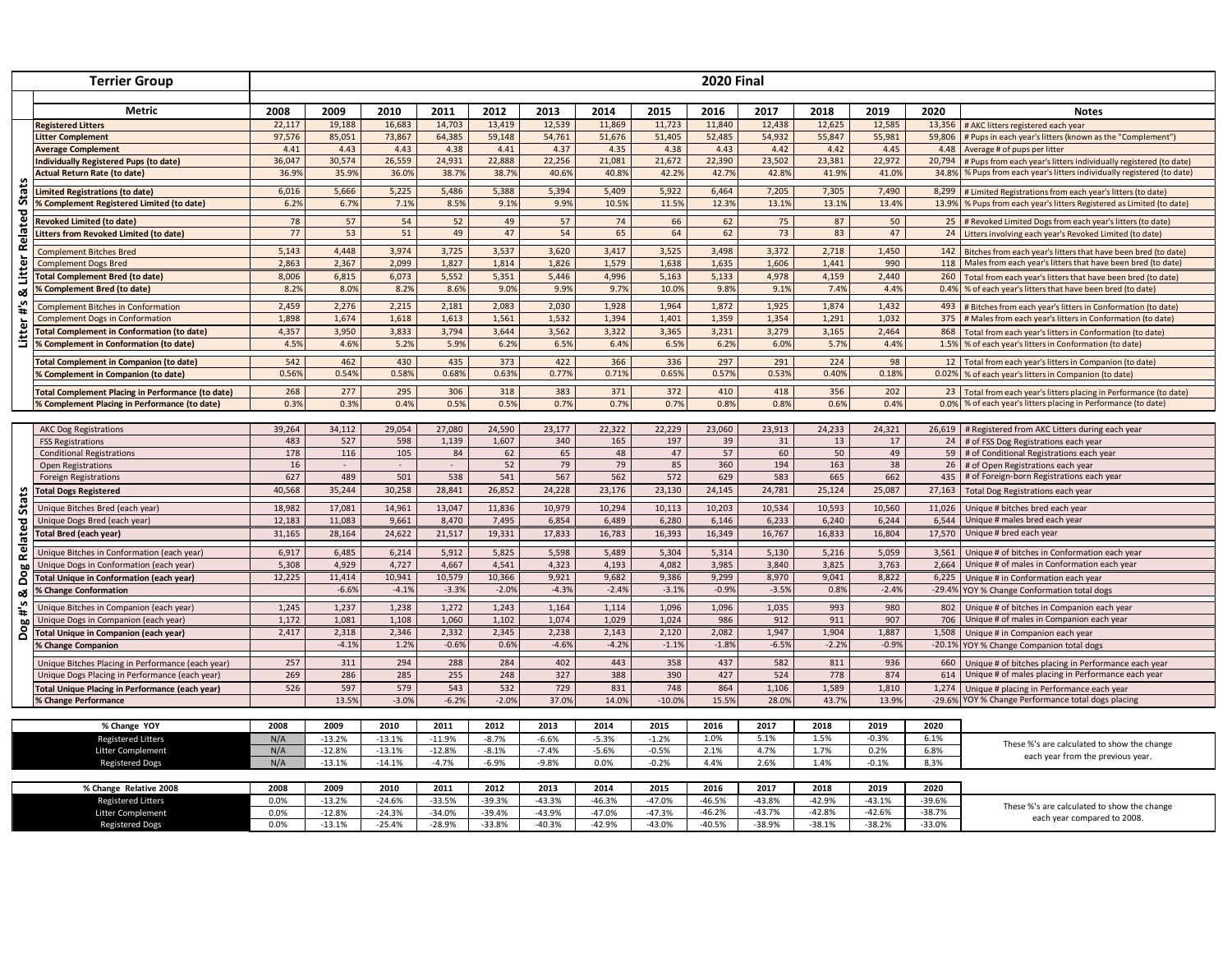| <b>Terrier Group</b>                |                                                                                       | <b>2020 Final</b> |                  |                  |                  |                 |                  |                  |                  |                  |                  |                  |                 |                |                                                                                                                            |
|-------------------------------------|---------------------------------------------------------------------------------------|-------------------|------------------|------------------|------------------|-----------------|------------------|------------------|------------------|------------------|------------------|------------------|-----------------|----------------|----------------------------------------------------------------------------------------------------------------------------|
|                                     |                                                                                       |                   |                  |                  |                  |                 |                  |                  |                  |                  |                  |                  |                 |                |                                                                                                                            |
|                                     | Metric<br><b>Registered Litters</b>                                                   | 2008<br>22,117    | 2009<br>19,188   | 2010<br>16,683   | 2011<br>14,703   | 2012<br>13,419  | 2013<br>12,539   | 2014<br>11,869   | 2015<br>11,723   | 2016<br>11,840   | 2017<br>12,438   | 2018<br>12,625   | 2019<br>12,585  | 2020           | <b>Notes</b><br>13,356 # AKC litters registered each year                                                                  |
|                                     | litter Complement                                                                     | 97,576            | 85,051           | 73,867           | 64,385           | 59,148          | 54,761           | 51,676           | 51,405           | 52,485           | 54,932           | 55,847           | 55,981          |                | 59,806   # Pups in each year's litters (known as the "Complement")                                                         |
|                                     | <b>Average Complement</b>                                                             | 4.41              | 4.43             | 4.43             | 4.38             | 4.41            | 4.37             | 4.35             | 4.38             | 4.43             | 4.42             | 4.42             | 4.45            |                | 4.48 Average # of pups per litter                                                                                          |
|                                     | Individually Registered Pups (to date)                                                | 36.047            | 30,574           | 26,559           | 24,931           | 22,888          | 22,256           | 21,081           | 21,672           | 22,390           | 23.502           | 23,381           | 22,972          | 20,794         | # Pups from each year's litters individually registered (to date)                                                          |
|                                     | <b>Actual Return Rate (to date)</b>                                                   | 36.9%             | 35.9%            | 36.0%            | 38.79            | 38.7%           | 40.6%            | 40.8%            | 42.2%            | 42.7%            | 42.8%            | 41.9%            | 41.0%           | 34.8%          | % Pups from each year's litters individually registered (to date)                                                          |
| Stats                               | <b>Limited Registrations (to date)</b>                                                | 6,016             | 5,666            | 5,225            | 5,486            | 5,388           | 5,394            | 5,409            | 5,922            | 6,464            | 7,205            | 7,305            | 7,490           | 8,299          | # Limited Registrations from each year's litters (to date)                                                                 |
|                                     | % Complement Registered Limited (to date)                                             | 6.2%              | 6.7%             | 7.1%             | 8.5%             | 9.1%            | 9.9%             | 10.59            | 11.5%            | 12.3%            | 13.1%            | 13.1%            | 13.4%           | 13.9%          | % Pups from each year's litters Registered as Limited (to date)                                                            |
|                                     |                                                                                       |                   |                  |                  |                  |                 |                  |                  |                  |                  |                  |                  |                 |                |                                                                                                                            |
|                                     | <b>Revoked Limited (to date)</b><br><b>Litters from Revoked Limited (to date)</b>     | 78<br>77          | 57<br>53         | 54<br>51         | 52<br>49         | 49<br>47        | 57<br>54         | 74<br>65         | 66<br>64         | 62<br>62         | 75<br>73         | 87<br>83         | 50<br>47        |                | 25 # Revoked Limited Dogs from each year's litters (to date)<br>24 Litters involving each year's Revoked Limited (to date) |
| Related                             |                                                                                       |                   |                  |                  |                  |                 |                  |                  |                  |                  |                  |                  |                 |                |                                                                                                                            |
| Litter<br>య<br>$\frac{4}{11}$       | <b>Complement Bitches Bred</b>                                                        | 5,143             | 4.448            | 3,974            | 3,725            | 3,537           | 3,620            | 3.417            | 3,525            | 3.498            | 3.372            | 2,718            | 1,450           |                | 142 Bitches from each year's litters that have been bred (to date)                                                         |
|                                     | <b>Complement Dogs Bred</b>                                                           | 2,863             | 2,367            | 2,099            | 1,827            | 1,814           | 1,826            | 1,579            | 1,638            | 1,635            | 1,606            | 1,441            | 990             |                | 118 Males from each year's litters that have been bred (to date)                                                           |
|                                     | <b>Total Complement Bred (to date)</b>                                                | 8,006             | 6,815            | 6,073            | 5,552            | 5,351           | 5,446            | 4,996            | 5,163            | 5,133            | 4,978            | 4,159            | 2,440           | 260            | Total from each year's litters that have been bred (to date)                                                               |
|                                     | % Complement Bred (to date)                                                           | 8.2%              | 8.0%             | 8.2%             | 8.69             | 9.0%            | 9.9%             | 9.7%             | 10.09            | 9.8%             | 9.1%             | 7.4%             | 4.4%            | 0.4%           | % of each year's litters that have been bred (to date)                                                                     |
|                                     | <b>Complement Bitches in Conformation</b>                                             | 2,459             | 2,276            | 2,215            | 2,181            | 2,083           | 2,030            | 1,928            | 1,964            | 1,872            | 1,925            | 1,874            | 1,432           | 493            | # Bitches from each year's litters in Conformation (to date)                                                               |
|                                     | <b>Complement Dogs in Conformation</b>                                                | 1,898             | 1,674            | 1,618            | 1,613            | 1,561           | 1,532            | 1,394            | 1,401            | 1,359            | 1,354            | 1,291            | 1,032           |                | 375 # Males from each year's litters in Conformation (to date)                                                             |
| Litter                              | <b>Total Complement in Conformation (to date)</b>                                     | 4,357             | 3,950            | 3,833            | 3,794            | 3,644           | 3,562            | 3,322            | 3,365            | 3,231            | 3,279            | 3,165            | 2,464           |                | 868 Total from each year's litters in Conformation (to date)                                                               |
|                                     | <b>6 Complement in Conformation (to date)</b>                                         | 4.5%              | 4.6%             | 5.2%             | 5.9%             | 6.2%            | 6.5%             | 6.4%             | 6.5%             | 6.2%             | 6.0%             | 5.7%             | 4.4%            |                | 1.5% % of each year's litters in Conformation (to date)                                                                    |
|                                     | <b>Fotal Complement in Companion (to date)</b>                                        | 542               | 462              | 430              | 435              | 373             | 422              | 366              | 336              | 297              | 291              | 224              | 98              |                | 12 Total from each year's litters in Companion (to date)                                                                   |
|                                     | 6 Complement in Companion (to date)                                                   | 0.56%             | 0.54%            | 0.58%            | 0.68%            | 0.63%           | 0.77%            | 0.71%            | 0.65%            | 0.57%            | 0.53%            | 0.40%            | 0.18%           |                | 0.02% % of each year's litters in Companion (to date)                                                                      |
|                                     | <b>Total Complement Placing in Performance (to date)</b>                              | 268               | 277              | 295              | 306              | 318             | 383              | 371              | 372              | 410              | 418              | 356              | 202             |                | 23 Total from each year's litters placing in Performance (to date)                                                         |
|                                     | 6 Complement Placing in Performance (to date)                                         | 0.3%              | 0.3%             | 0.4%             | 0.59             | 0.5%            | 0.7%             | 0.7%             | 0.7%             | 0.8%             | 0.8%             | 0.6%             | 0.4%            | 0.0%           | % of each year's litters placing in Performance (to date)                                                                  |
|                                     |                                                                                       |                   |                  |                  |                  |                 |                  |                  |                  |                  |                  |                  |                 |                |                                                                                                                            |
|                                     | <b>AKC Dog Registrations</b>                                                          | 39,264            | 34,112           | 29,054           | 27,080           | 24,590          | 23,177           | 22,322           | 22,229           | 23,060           | 23,913           | 24,233           | 24,321          |                | 26,619 # Registered from AKC Litters during each year                                                                      |
|                                     | <b>FSS Registrations</b>                                                              | 483               | 527              | 598              | 1,139            | 1,607           | 340              | 165              | 197              | 39               | 31               | 13               | 17              |                | 24 # of FSS Dog Registrations each year                                                                                    |
|                                     | <b>Conditional Registrations</b>                                                      | 178               | 116              | 105              | 84               | 62              | 65               | 48               | 47               | 57               | 60               | 50               | 49              |                | 59 # of Conditional Registrations each year                                                                                |
|                                     | <b>Open Registrations</b>                                                             | 16                |                  |                  |                  | 52              | 79               | 79               | 85               | 360              | 194              | 163              | 38              | 26             | # of Open Registrations each year                                                                                          |
|                                     | <b>Foreign Registrations</b>                                                          | 627               | 489              | 501              | 538              | 541             | 567              | 562              | 572              | 629              | 583              | 665              | 662             | 435            | # of Foreign-born Registrations each year                                                                                  |
|                                     | <b>Total Dogs Registered</b>                                                          | 40,568            | 35,244           | 30,258           | 28,841           | 26,852          | 24,228           | 23,176           | 23,130           | 24,145           | 24,781           | 25,124           | 25,087          | 27,163         | Total Dog Registrations each year                                                                                          |
| <b>Sta</b>                          | Unique Bitches Bred (each year)                                                       | 18,982            | 17,081           | 14,961           | 13,047           | 11,836          | 10,979           | 10,294           | 10,113           | 10,203           | 10,534           | 10,593           | 10,560          | 11,026         | Unique # bitches bred each year                                                                                            |
|                                     | Unique Dogs Bred (each year)                                                          | 12,183            | 11,083           | 9,661            | 8,470            | 7,495           | 6,854            | 6,489            | 6,280            | 6,146            | 6,233            | 6,240            | 6,244           | 6,544          | Unique # males bred each year                                                                                              |
|                                     | Total Bred (each year)                                                                | 31,165            | 28,164           | 24,622           | 21,517           | 19,331          | 17,833           | 16,783           | 16,393           | 16,349           | 16,767           | 16,833           | 16,804          | 17,570         | Unique # bred each year                                                                                                    |
| Related<br>ဗွ<br>ó<br>ಜ<br>ِس<br>Ŧ. |                                                                                       |                   |                  |                  |                  |                 |                  |                  |                  |                  |                  |                  |                 |                |                                                                                                                            |
|                                     | Unique Bitches in Conformation (each year)<br>Unique Dogs in Conformation (each year) | 6,917<br>5,308    | 6,485<br>4,929   | 6,214<br>4,727   | 5,912<br>4,667   | 5,825<br>4,541  | 5,598<br>4,323   | 5,489<br>4,193   | 5,304<br>4,082   | 5,314<br>3,985   | 5,130<br>3,840   | 5,216<br>3,825   | 5,059<br>3,763  | 3,561<br>2.664 | Unique # of bitches in Conformation each year<br>Unique # of males in Conformation each year                               |
|                                     | Total Unique in Conformation (each year)                                              | 12,225            | 11,414           | 10,941           | 10,579           | 10,366          | 9,921            | 9,682            | 9,386            | 9,299            | 8,970            | 9,041            | 8,822           | 6,225          | Unique # in Conformation each year                                                                                         |
|                                     | % Change Conformation                                                                 |                   | $-6.6%$          | $-4.1%$          | $-3.3%$          | $-2.0%$         | $-4.3%$          | $-2.4%$          | $-3.1%$          | $-0.9%$          | $-3.5%$          | 0.8%             | $-2.4%$         |                | -29.4% YOY % Change Conformation total dogs                                                                                |
|                                     |                                                                                       |                   |                  |                  |                  |                 |                  |                  |                  |                  |                  |                  |                 |                |                                                                                                                            |
|                                     | Unique Bitches in Companion (each year)                                               | 1,245             | 1,237            | 1,238            | 1,272            | 1,243           | 1,164            | 1,114            | 1,096            | 1,096            | 1,035            | 993              | 980             | 802            | Unique # of bitches in Companion each year                                                                                 |
| Dog                                 | Unique Dogs in Companion (each year)                                                  | 1,172             | 1,081            | 1,108            | 1.060            | 1,102           | 1,074            | 1,029            | 1,024            | 986              | 912              | 911              | 907             |                | 706 Unique # of males in Companion each year                                                                               |
|                                     | <b>Total Unique in Companion (each year)</b>                                          | 2,417             | 2,318<br>$-4.1%$ | 2,346<br>1.2%    | 2,332<br>$-0.6%$ | 2,345<br>0.6%   | 2,238<br>$-4.6%$ | 2,143<br>$-4.2%$ | 2,120<br>$-1.1%$ | 2,082<br>$-1.8%$ | 1,947<br>$-6.5%$ | 1,904<br>$-2.2%$ | 1,887           |                | 1,508 Unique # in Companion each year                                                                                      |
|                                     | <b>% Change Companion</b>                                                             |                   |                  |                  |                  |                 |                  |                  |                  |                  |                  |                  | $-0.9%$         |                | -20.1% YOY % Change Companion total dogs                                                                                   |
|                                     | Unique Bitches Placing in Performance (each year)                                     | 257               | 311              | 294              | 288              | 284             | 402              | 443              | 358              | 437              | 582              | 811              | 936             | 660            | Unique # of bitches placing in Performance each year                                                                       |
|                                     | Unique Dogs Placing in Performance (each year)                                        | 269               | 286              | 285              | 255              | 248             | 327              | 388              | 390              | 427              | 524              | 778              | 874             | 614            | Unique # of males placing in Performance each year                                                                         |
|                                     | Total Unique Placing in Performance (each year)                                       | 526               | 597              | 579              | 543              | 532             | 729              | 831              | 748              | 864              | 1,106            | 1,589            | 1,810           | 1,274          | Unique # placing in Performance each year                                                                                  |
|                                     | <b>% Change Performance</b>                                                           |                   | 13.5%            | $-3.0%$          | $-6.2%$          | $-2.0%$         | 37.0%            | 14.0%            | $-10.0%$         | 15.5%            | 28.0%            | 43.7%            | 13.9%           |                | -29.6% YOY % Change Performance total dogs placing                                                                         |
|                                     |                                                                                       |                   |                  |                  |                  |                 |                  |                  |                  |                  |                  |                  |                 |                |                                                                                                                            |
|                                     | % Change YOY<br><b>Registered Litters</b>                                             | 2008<br>N/A       | 2009<br>$-13.2%$ | 2010<br>$-13.1%$ | 2011<br>$-11.9%$ | 2012<br>$-8.7%$ | 2013<br>$-6.6%$  | 2014<br>$-5.3%$  | 2015<br>$-1.2%$  | 2016<br>1.0%     | 2017<br>5.1%     | 2018<br>1.5%     | 2019<br>$-0.3%$ | 2020<br>6.1%   |                                                                                                                            |
|                                     | Litter Complement                                                                     | N/A               | $-12.8%$         | $-13.1%$         | $-12.8%$         | $-8.1%$         | $-7.4%$          | $-5.6%$          | $-0.5%$          | 2.1%             | 4.7%             | 1.7%             | 0.2%            | 6.8%           | These %'s are calculated to show the change                                                                                |
|                                     | <b>Registered Dogs</b>                                                                | N/A               | $-13.1%$         | $-14.1%$         | $-4.7%$          | $-6.9%$         | $-9.8%$          | 0.0%             | $-0.2%$          | 4.4%             | 2.6%             | 1.4%             | $-0.1%$         | 8.3%           | each year from the previous year.                                                                                          |
|                                     |                                                                                       |                   |                  |                  |                  |                 |                  |                  |                  |                  |                  |                  |                 |                |                                                                                                                            |
| % Change Relative 2008              |                                                                                       | 2008              | 2009             | 2010             | 2011             | 2012            | 2013             | 2014             | 2015             | 2016             | 2017             | 2018             | 2019            | 2020           |                                                                                                                            |
| <b>Registered Litters</b>           |                                                                                       | 0.0%              | $-13.2%$         | $-24.6%$         | $-33.5%$         | $-39.3%$        | $-43.3%$         | $-46.3%$         | $-47.0%$         | $-46.5%$         | $-43.8%$         | $-42.9%$         | $-43.1%$        | $-39.6%$       |                                                                                                                            |
| Litter Complement                   |                                                                                       | 0.0%              | $-12.8%$         | $-24.3%$         | $-34.0%$         | $-39.4%$        | $-43.9%$         | $-47.0%$         | $-47.3%$         | $-46.2%$         | $-43.7%$         | $-42.8%$         | $-42.6%$        | $-38.7%$       | These %'s are calculated to show the change                                                                                |
| <b>Registered Dogs</b>              |                                                                                       | 0.0%              | $-13.1%$         | $-25.4%$         | $-28.9%$         | $-33.8%$        | $-40.3%$         | $-42.9%$         | $-43.0%$         | $-40.5%$         | $-38.9%$         | $-38.1%$         | $-38.2%$        | $-33.0%$       | each year compared to 2008.                                                                                                |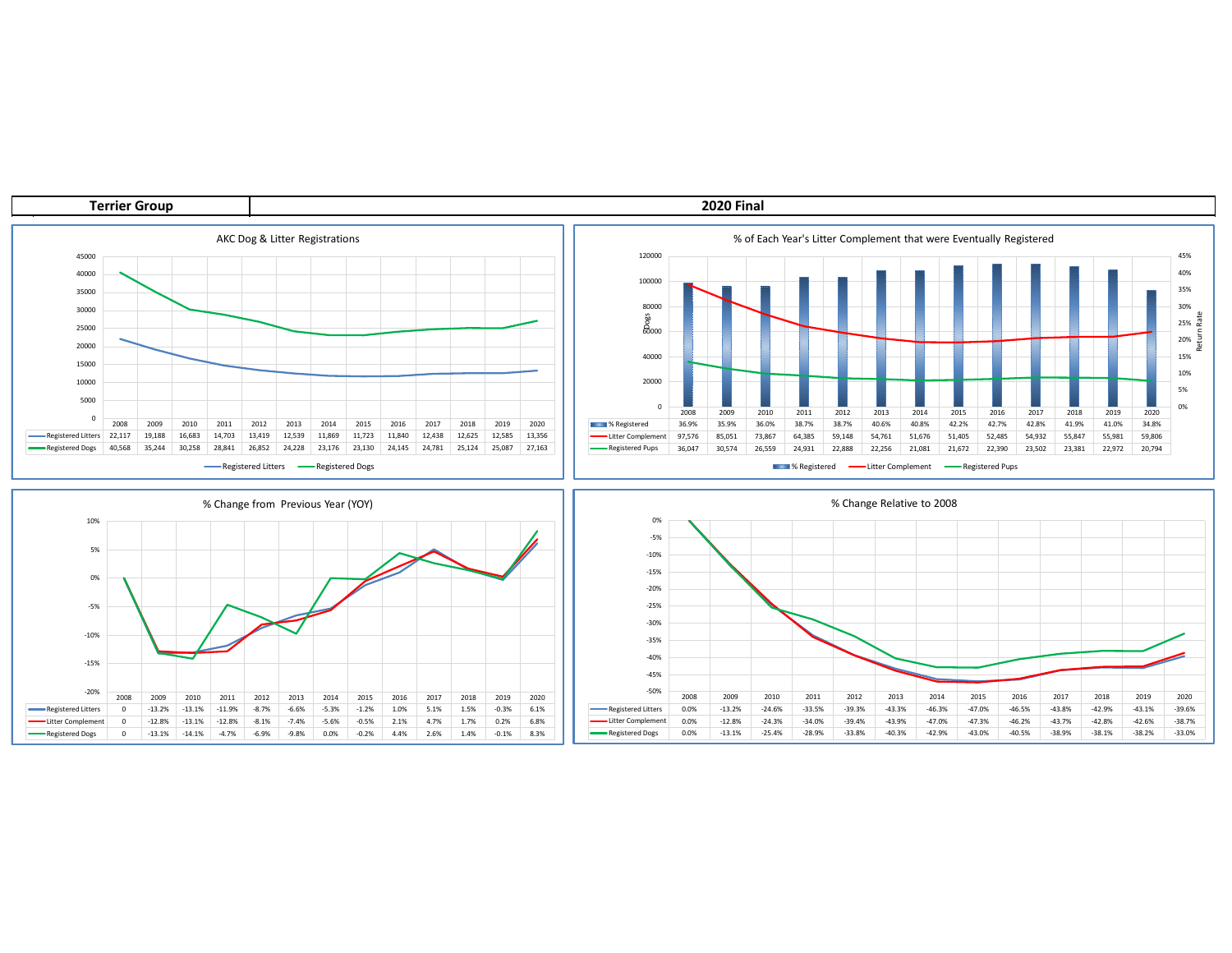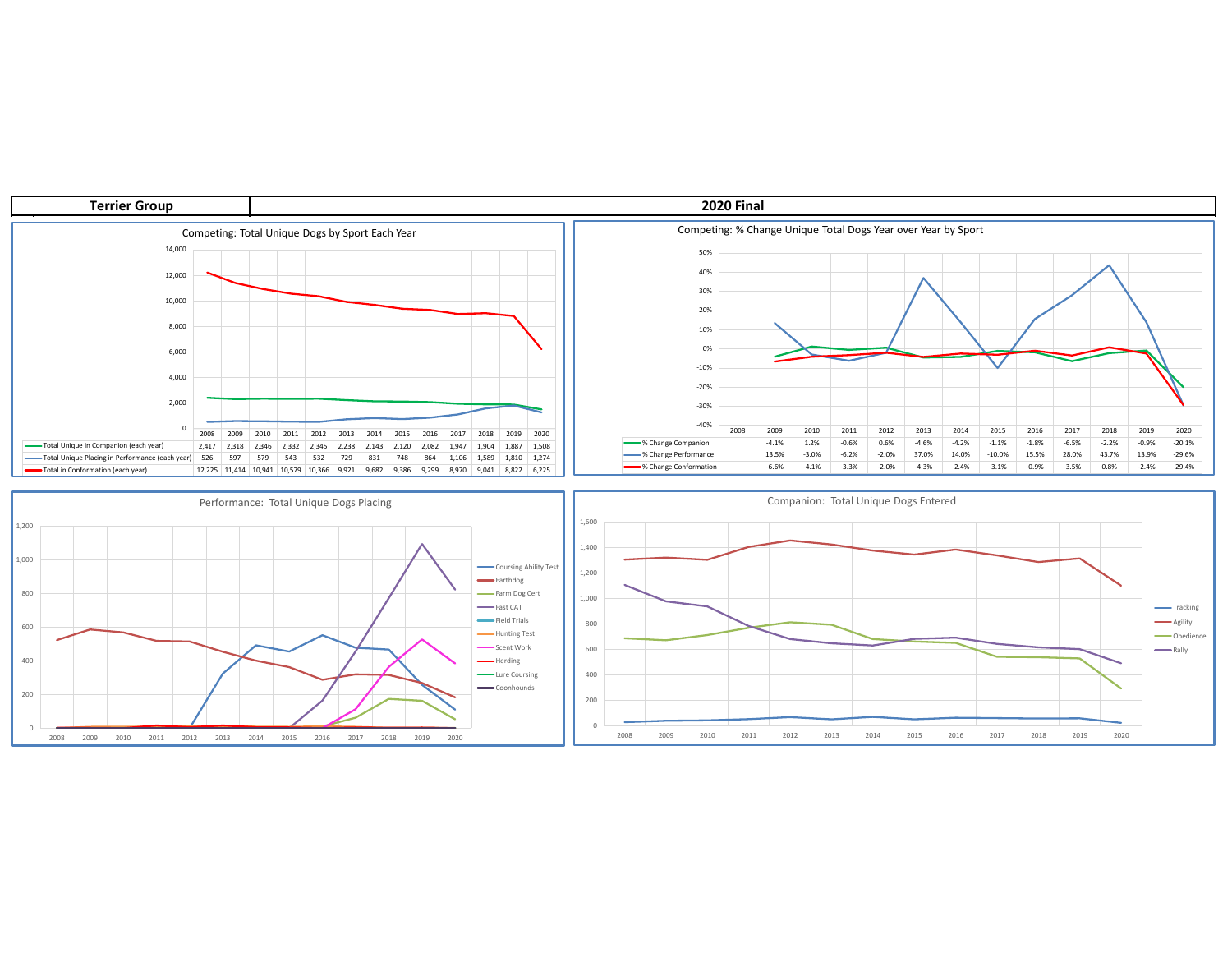